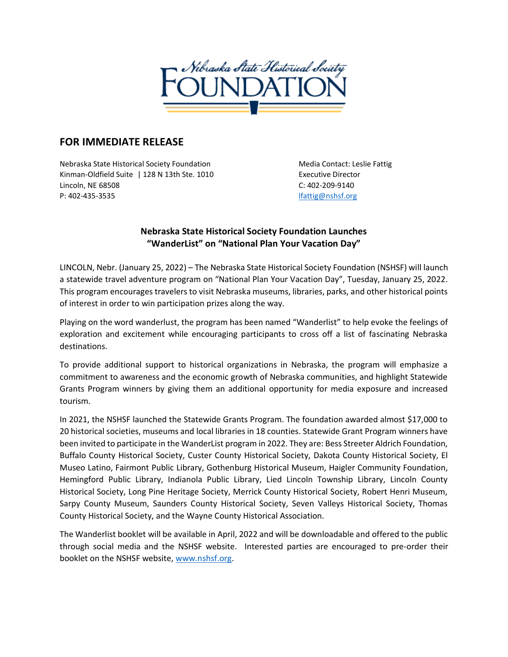

## **FOR IMMEDIATE RELEASE**

Nebraska State Historical Society Foundation Media Contact: Leslie Fattig Kinman-Oldfield Suite | 128 N 13th Ste. 1010 Face Lines Executive Director Lincoln, NE 68508 C: 402-209-9140 P: 402-435-3535 [lfattig@nshsf.org](mailto:lfattig@nshsf.org)

## **Nebraska State Historical Society Foundation Launches "WanderList" on "National Plan Your Vacation Day"**

LINCOLN, Nebr. (January 25, 2022) – The Nebraska State Historical Society Foundation (NSHSF) will launch a statewide travel adventure program on "National Plan Your Vacation Day", Tuesday, January 25, 2022. This program encourages travelers to visit Nebraska museums, libraries, parks, and other historical points of interest in order to win participation prizes along the way.

Playing on the word wanderlust, the program has been named "Wanderlist" to help evoke the feelings of exploration and excitement while encouraging participants to cross off a list of fascinating Nebraska destinations.

To provide additional support to historical organizations in Nebraska, the program will emphasize a commitment to awareness and the economic growth of Nebraska communities, and highlight Statewide Grants Program winners by giving them an additional opportunity for media exposure and increased tourism.

In 2021, the NSHSF launched the Statewide Grants Program. The foundation awarded almost \$17,000 to 20 historical societies, museums and local libraries in 18 counties. Statewide Grant Program winners have been invited to participate in the WanderList program in 2022. They are: Bess Streeter Aldrich Foundation, Buffalo County Historical Society, Custer County Historical Society, Dakota County Historical Society, El Museo Latino, Fairmont Public Library, Gothenburg Historical Museum, Haigler Community Foundation, Hemingford Public Library, Indianola Public Library, Lied Lincoln Township Library, Lincoln County Historical Society, Long Pine Heritage Society, Merrick County Historical Society, Robert Henri Museum, Sarpy County Museum, Saunders County Historical Society, Seven Valleys Historical Society, Thomas County Historical Society, and the Wayne County Historical Association.

The Wanderlist booklet will be available in April, 2022 and will be downloadable and offered to the public through social media and the NSHSF website. Interested parties are encouraged to pre-order their booklet on the NSHSF website, [www.nshsf.org.](http://www.nshsf.org/)